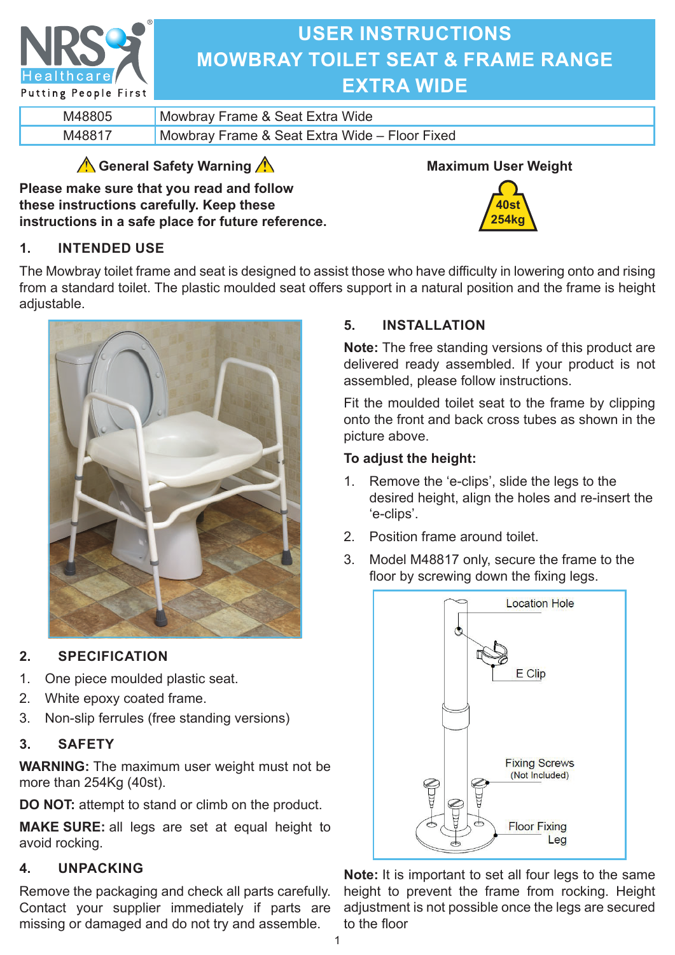

# **USER INSTRUCTIONS MOWBRAY TOILET SEAT & FRAME RANGE EXTRA WIDE**

| Mowbray Frame & Seat Extra Wide               |
|-----------------------------------------------|
| Mowbray Frame & Seat Extra Wide - Floor Fixed |

## **General Safety Warning**

**Please make sure that you read and follow these instructions carefully. Keep these instructions in a safe place for future reference.**



**40st 254kg**

## **1. INTENDED USE**

The Mowbray toilet frame and seat is designed to assist those who have difficulty in lowering onto and rising from a standard toilet. The plastic moulded seat offers support in a natural position and the frame is height adjustable.



## **2. SPECIFICATION**

- 1. One piece moulded plastic seat.
- 2. White epoxy coated frame.
- 3. Non-slip ferrules (free standing versions)

## **3. SAFETY**

**WARNING:** The maximum user weight must not be more than 254Kg (40st).

**DO NOT:** attempt to stand or climb on the product.

**MAKE SURE:** all legs are set at equal height to avoid rocking.

## **4. UNPACKING**

Remove the packaging and check all parts carefully. Contact your supplier immediately if parts are missing or damaged and do not try and assemble.

## **5. INSTALLATION**

**Note:** The free standing versions of this product are delivered ready assembled. If your product is not assembled, please follow instructions.

Fit the moulded toilet seat to the frame by clipping onto the front and back cross tubes as shown in the picture above.

## **To adjust the height:**

- 1. Remove the 'e-clips', slide the legs to the desired height, align the holes and re-insert the 'e-clips'.
- 2. Position frame around toilet.
- 3. Model M48817 only, secure the frame to the floor by screwing down the fixing legs.



**Note:** It is important to set all four legs to the same height to prevent the frame from rocking. Height adjustment is not possible once the legs are secured to the floor